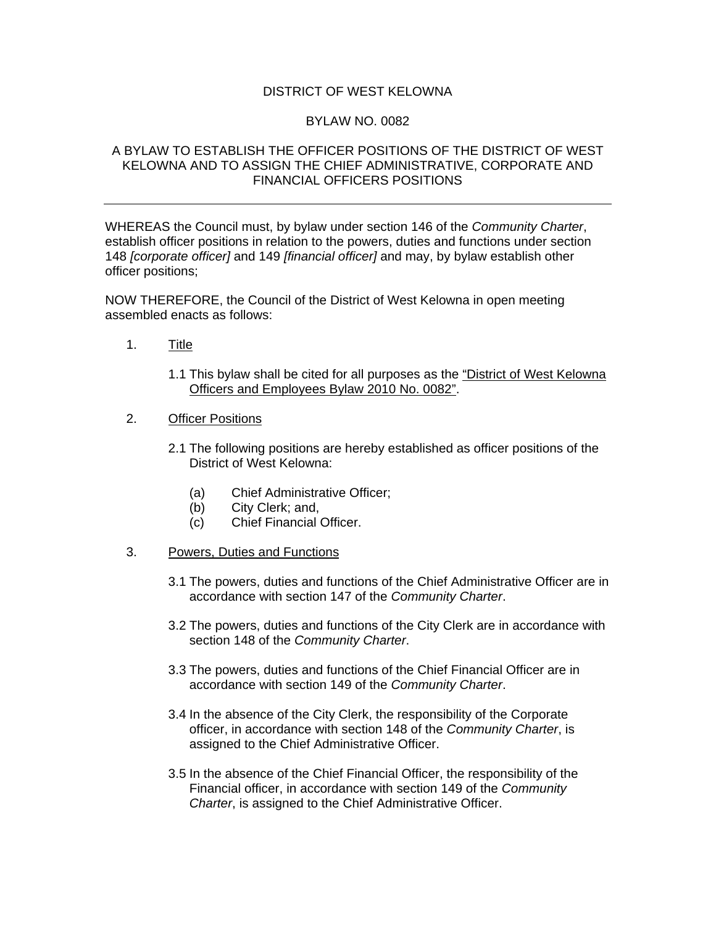## DISTRICT OF WEST KELOWNA

## BYLAW NO. 0082

## A BYLAW TO ESTABLISH THE OFFICER POSITIONS OF THE DISTRICT OF WEST KELOWNA AND TO ASSIGN THE CHIEF ADMINISTRATIVE, CORPORATE AND FINANCIAL OFFICERS POSITIONS

WHEREAS the Council must, by bylaw under section 146 of the *Community Charter*, establish officer positions in relation to the powers, duties and functions under section 148 *[corporate officer]* and 149 *[financial officer]* and may, by bylaw establish other officer positions;

NOW THEREFORE, the Council of the District of West Kelowna in open meeting assembled enacts as follows:

- 1. Title
	- 1.1 This bylaw shall be cited for all purposes as the "District of West Kelowna Officers and Employees Bylaw 2010 No. 0082".
- 2. Officer Positions
	- 2.1 The following positions are hereby established as officer positions of the District of West Kelowna:
		- (a) Chief Administrative Officer;
		- (b) City Clerk; and,
		- (c) Chief Financial Officer.
- 3. Powers, Duties and Functions
	- 3.1 The powers, duties and functions of the Chief Administrative Officer are in accordance with section 147 of the *Community Charter*.
	- 3.2 The powers, duties and functions of the City Clerk are in accordance with section 148 of the *Community Charter*.
	- 3.3 The powers, duties and functions of the Chief Financial Officer are in accordance with section 149 of the *Community Charter*.
	- 3.4 In the absence of the City Clerk, the responsibility of the Corporate officer, in accordance with section 148 of the *Community Charter*, is assigned to the Chief Administrative Officer.
	- 3.5 In the absence of the Chief Financial Officer, the responsibility of the Financial officer, in accordance with section 149 of the *Community Charter*, is assigned to the Chief Administrative Officer.